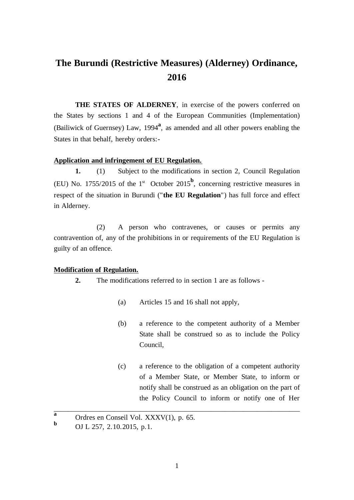# **The Burundi (Restrictive Measures) (Alderney) Ordinance, 2016**

**THE STATES OF ALDERNEY**, in exercise of the powers conferred on the States by sections 1 and 4 of the European Communities (Implementation) (Bailiwick of Guernsey) Law, 1994**<sup>a</sup>** , as amended and all other powers enabling the States in that behalf, hereby orders:-

# **Application and infringement of EU Regulation.**

**1.** (1) Subject to the modifications in section 2, Council Regulation (EU) No. 1755/2015 of the 1<sup>st</sup> October 2015<sup>b</sup>, concerning restrictive measures in respect of the situation in Burundi ("**the EU Regulation**") has full force and effect in Alderney.

(2) A person who contravenes, or causes or permits any contravention of, any of the prohibitions in or requirements of the EU Regulation is guilty of an offence.

# **Modification of Regulation.**

- **2.** The modifications referred to in section 1 are as follows
	- (a) Articles 15 and 16 shall not apply,
	- (b) a reference to the competent authority of a Member State shall be construed so as to include the Policy Council,
	- (c) a reference to the obligation of a competent authority of a Member State, or Member State, to inform or notify shall be construed as an obligation on the part of the Policy Council to inform or notify one of Her

 $\overline{a}$  Ordres en Conseil Vol. XXXV(1), p. 65.

**<sup>b</sup>** OJ L 257, 2.10.2015, p.1.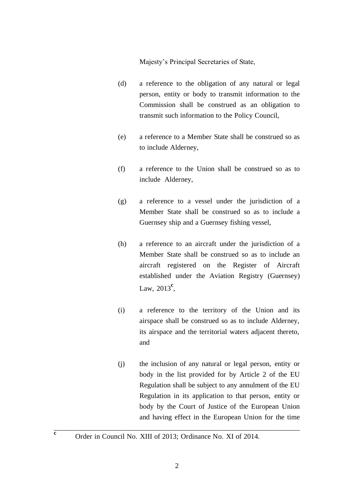Majesty's Principal Secretaries of State,

- (d) a reference to the obligation of any natural or legal person, entity or body to transmit information to the Commission shall be construed as an obligation to transmit such information to the Policy Council,
- (e) a reference to a Member State shall be construed so as to include Alderney,
- (f) a reference to the Union shall be construed so as to include Alderney,
- (g) a reference to a vessel under the jurisdiction of a Member State shall be construed so as to include a Guernsey ship and a Guernsey fishing vessel,
- (h) a reference to an aircraft under the jurisdiction of a Member State shall be construed so as to include an aircraft registered on the Register of Aircraft established under the Aviation Registry (Guernsey) Law, 2013**<sup>c</sup>** ,
- (i) a reference to the territory of the Union and its airspace shall be construed so as to include Alderney, its airspace and the territorial waters adjacent thereto, and
- (j) the inclusion of any natural or legal person, entity or body in the list provided for by Article 2 of the EU Regulation shall be subject to any annulment of the EU Regulation in its application to that person, entity or body by the Court of Justice of the European Union and having effect in the European Union for the time

**c** Order in Council No. XIII of 2013; Ordinance No. XI of 2014.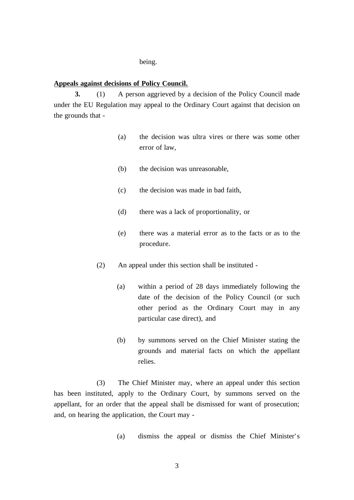#### being.

# **Appeals against decisions of Policy Council.**

**3.** (1) A person aggrieved by a decision of the Policy Council made under the EU Regulation may appeal to the Ordinary Court against that decision on the grounds that -

- (a) the decision was ultra vires or there was some other error of law,
- (b) the decision was unreasonable,
- (c) the decision was made in bad faith,
- (d) there was a lack of proportionality, or
- (e) there was a material error as to the facts or as to the procedure.
- (2) An appeal under this section shall be instituted
	- (a) within a period of 28 days immediately following the date of the decision of the Policy Council (or such other period as the Ordinary Court may in any particular case direct), and
	- (b) by summons served on the Chief Minister stating the grounds and material facts on which the appellant relies.

(3) The Chief Minister may, where an appeal under this section has been instituted, apply to the Ordinary Court, by summons served on the appellant, for an order that the appeal shall be dismissed for want of prosecution; and, on hearing the application, the Court may -

(a) dismiss the appeal or dismiss the Chief Minister' s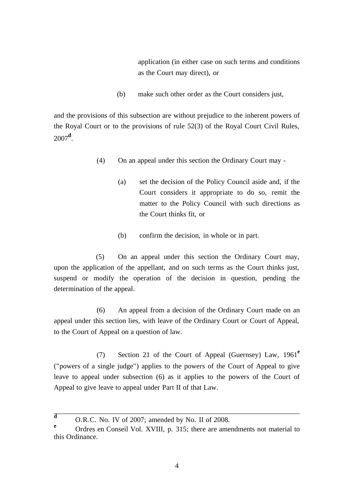application (in either case on such terms and conditions as the Court may direct), or

(b) make such other order as the Court considers just,

and the provisions of this subsection are without prejudice to the inherent powers of the Royal Court or to the provisions of rule 52(3) of the Royal Court Civil Rules, 2007**<sup>d</sup>** .

- (4) On an appeal under this section the Ordinary Court may
	- (a) set the decision of the Policy Council aside and, if the Court considers it appropriate to do so, remit the matter to the Policy Council with such directions as the Court thinks fit, or
	- (b) confirm the decision, in whole or in part.

(5) On an appeal under this section the Ordinary Court may, upon the application of the appellant, and on such terms as the Court thinks just, suspend or modify the operation of the decision in question, pending the determination of the appeal.

(6) An appeal from a decision of the Ordinary Court made on an appeal under this section lies, with leave of the Ordinary Court or Court of Appeal, to the Court of Appeal on a question of law.

(7) Section 21 of the Court of Appeal (Guernsey) Law, 1961**<sup>e</sup>** ("powers of a single judge") applies to the powers of the Court of Appeal to give leave to appeal under subsection (6) as it applies to the powers of the Court of Appeal to give leave to appeal under Part II of that Law.

 $\frac{d}{d}$  O.R.C. No. IV of 2007; amended by No. II of 2008.

**<sup>e</sup>** Ordres en Conseil Vol. XVIII, p. 315; there are amendments not material to this Ordinance.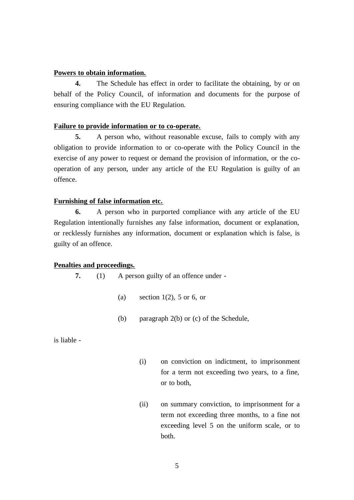# **Powers to obtain information.**

**4.** The Schedule has effect in order to facilitate the obtaining, by or on behalf of the Policy Council, of information and documents for the purpose of ensuring compliance with the EU Regulation.

#### **Failure to provide information or to co-operate.**

**5.** A person who, without reasonable excuse, fails to comply with any obligation to provide information to or co-operate with the Policy Council in the exercise of any power to request or demand the provision of information, or the cooperation of any person, under any article of the EU Regulation is guilty of an offence.

### **Furnishing of false information etc.**

**6.** A person who in purported compliance with any article of the EU Regulation intentionally furnishes any false information, document or explanation, or recklessly furnishes any information, document or explanation which is false, is guilty of an offence.

#### **Penalties and proceedings.**

**7.** (1) A person guilty of an offence under -

- (a) section  $1(2)$ , 5 or 6, or
- (b) paragraph 2(b) or (c) of the Schedule,

is liable -

- (i) on conviction on indictment, to imprisonment for a term not exceeding two years, to a fine, or to both,
- (ii) on summary conviction, to imprisonment for a term not exceeding three months, to a fine not exceeding level 5 on the uniform scale, or to both.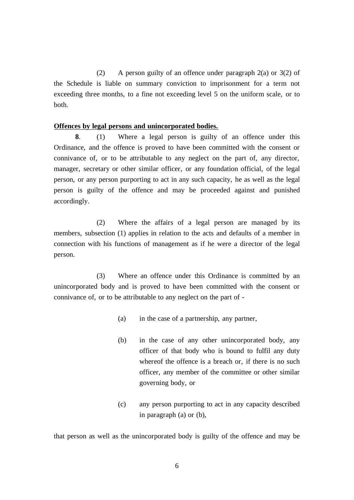(2) A person guilty of an offence under paragraph 2(a) or 3(2) of the Schedule is liable on summary conviction to imprisonment for a term not exceeding three months, to a fine not exceeding level 5 on the uniform scale, or to both.

## **Offences by legal persons and unincorporated bodies.**

**8**. (1) Where a legal person is guilty of an offence under this Ordinance, and the offence is proved to have been committed with the consent or connivance of, or to be attributable to any neglect on the part of, any director, manager, secretary or other similar officer, or any foundation official, of the legal person, or any person purporting to act in any such capacity, he as well as the legal person is guilty of the offence and may be proceeded against and punished accordingly.

(2) Where the affairs of a legal person are managed by its members, subsection (1) applies in relation to the acts and defaults of a member in connection with his functions of management as if he were a director of the legal person.

(3) Where an offence under this Ordinance is committed by an unincorporated body and is proved to have been committed with the consent or connivance of, or to be attributable to any neglect on the part of -

- (a) in the case of a partnership, any partner,
- (b) in the case of any other unincorporated body, any officer of that body who is bound to fulfil any duty whereof the offence is a breach or, if there is no such officer, any member of the committee or other similar governing body, or
- (c) any person purporting to act in any capacity described in paragraph (a) or (b),

that person as well as the unincorporated body is guilty of the offence and may be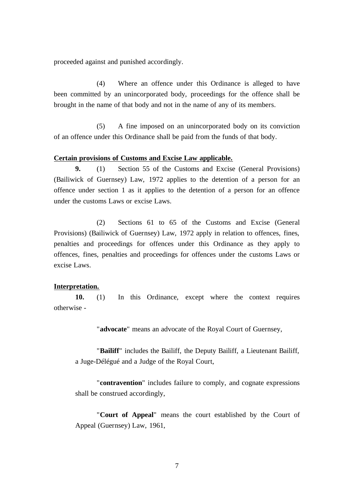proceeded against and punished accordingly.

(4) Where an offence under this Ordinance is alleged to have been committed by an unincorporated body, proceedings for the offence shall be brought in the name of that body and not in the name of any of its members.

(5) A fine imposed on an unincorporated body on its conviction of an offence under this Ordinance shall be paid from the funds of that body.

#### **Certain provisions of Customs and Excise Law applicable.**

**9.** (1) Section 55 of the Customs and Excise (General Provisions) (Bailiwick of Guernsey) Law, 1972 applies to the detention of a person for an offence under section 1 as it applies to the detention of a person for an offence under the customs Laws or excise Laws.

(2) Sections 61 to 65 of the Customs and Excise (General Provisions) (Bailiwick of Guernsey) Law, 1972 apply in relation to offences, fines, penalties and proceedings for offences under this Ordinance as they apply to offences, fines, penalties and proceedings for offences under the customs Laws or excise Laws.

## **Interpretation.**

**10.** (1) In this Ordinance, except where the context requires otherwise -

"**advocate**" means an advocate of the Royal Court of Guernsey,

"**Bailiff**" includes the Bailiff, the Deputy Bailiff, a Lieutenant Bailiff, a Juge-Délégué and a Judge of the Royal Court,

"**contravention**" includes failure to comply, and cognate expressions shall be construed accordingly,

"**Court of Appeal**" means the court established by the Court of Appeal (Guernsey) Law, 1961,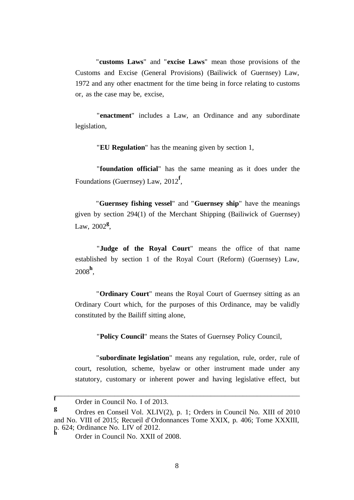"**customs Laws**" and "**excise Laws**" mean those provisions of the Customs and Excise (General Provisions) (Bailiwick of Guernsey) Law, 1972 and any other enactment for the time being in force relating to customs or, as the case may be, excise,

"**enactment**" includes a Law, an Ordinance and any subordinate legislation,

"**EU Regulation**" has the meaning given by section 1,

"**foundation official**" has the same meaning as it does under the Foundations (Guernsey) Law, 2012**<sup>f</sup>** ,

"**Guernsey fishing vessel**" and "**Guernsey ship**" have the meanings given by section 294(1) of the Merchant Shipping (Bailiwick of Guernsey) Law, 2002**<sup>g</sup>** ,

"**Judge of the Royal Court**" means the office of that name established by section 1 of the Royal Court (Reform) (Guernsey) Law, 2008**<sup>h</sup>** ,

"**Ordinary Court**" means the Royal Court of Guernsey sitting as an Ordinary Court which, for the purposes of this Ordinance, may be validly constituted by the Bailiff sitting alone,

"**Policy Council**" means the States of Guernsey Policy Council,

"**subordinate legislation**" means any regulation, rule, order, rule of court, resolution, scheme, byelaw or other instrument made under any statutory, customary or inherent power and having legislative effect, but

**f** Order in Council No. I of 2013.

**g** Ordres en Conseil Vol. XLIV(2), p. 1; Orders in Council No. XIII of 2010 and No. VIII of 2015; Recueil d' Ordonnances Tome XXIX, p. 406; Tome XXXIII, p. 624; Ordinance No. LIV of 2012.

**<sup>h</sup>** Order in Council No. XXII of 2008.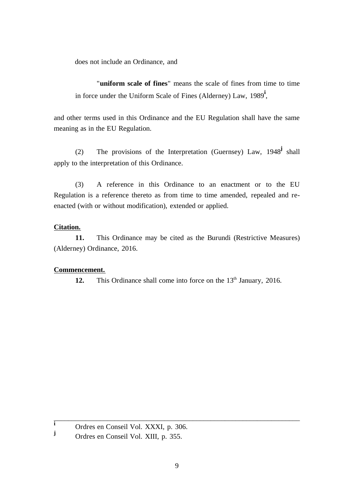does not include an Ordinance, and

"**uniform scale of fines**" means the scale of fines from time to time in force under the Uniform Scale of Fines (Alderney) Law, 1989**<sup>i</sup>** ,

and other terms used in this Ordinance and the EU Regulation shall have the same meaning as in the EU Regulation.

(2) The provisions of the Interpretation (Guernsey) Law, 1948**<sup>j</sup>** shall apply to the interpretation of this Ordinance.

(3) A reference in this Ordinance to an enactment or to the EU Regulation is a reference thereto as from time to time amended, repealed and reenacted (with or without modification), extended or applied.

# **Citation.**

**11.** This Ordinance may be cited as the Burundi (Restrictive Measures) (Alderney) Ordinance, 2016.

# **Commencement.**

12. This Ordinance shall come into force on the 13<sup>th</sup> January, 2016.

**i** Ordres en Conseil Vol. XXXI, p. 306.

**<sup>j</sup>** Ordres en Conseil Vol. XIII, p. 355.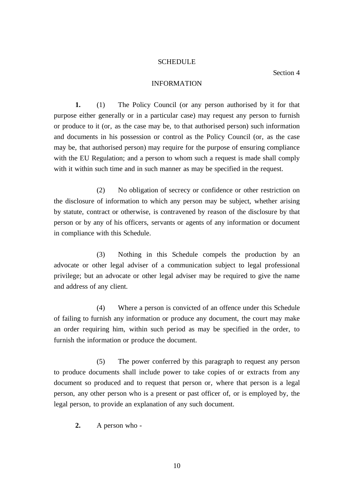# **SCHEDULE**

#### INFORMATION

**1.** (1) The Policy Council (or any person authorised by it for that purpose either generally or in a particular case) may request any person to furnish or produce to it (or, as the case may be, to that authorised person) such information and documents in his possession or control as the Policy Council (or, as the case may be, that authorised person) may require for the purpose of ensuring compliance with the EU Regulation; and a person to whom such a request is made shall comply with it within such time and in such manner as may be specified in the request.

(2) No obligation of secrecy or confidence or other restriction on the disclosure of information to which any person may be subject, whether arising by statute, contract or otherwise, is contravened by reason of the disclosure by that person or by any of his officers, servants or agents of any information or document in compliance with this Schedule.

(3) Nothing in this Schedule compels the production by an advocate or other legal adviser of a communication subject to legal professional privilege; but an advocate or other legal adviser may be required to give the name and address of any client.

(4) Where a person is convicted of an offence under this Schedule of failing to furnish any information or produce any document, the court may make an order requiring him, within such period as may be specified in the order, to furnish the information or produce the document.

(5) The power conferred by this paragraph to request any person to produce documents shall include power to take copies of or extracts from any document so produced and to request that person or, where that person is a legal person, any other person who is a present or past officer of, or is employed by, the legal person, to provide an explanation of any such document.

**2.** A person who -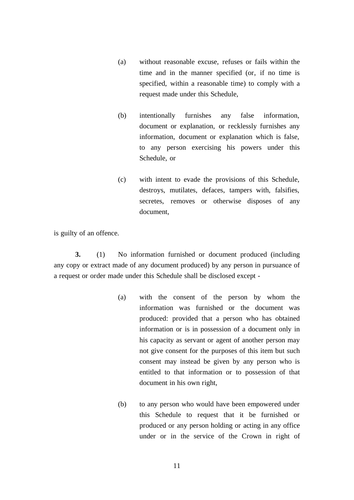- (a) without reasonable excuse, refuses or fails within the time and in the manner specified (or, if no time is specified, within a reasonable time) to comply with a request made under this Schedule,
- (b) intentionally furnishes any false information, document or explanation, or recklessly furnishes any information, document or explanation which is false, to any person exercising his powers under this Schedule, or
- (c) with intent to evade the provisions of this Schedule, destroys, mutilates, defaces, tampers with, falsifies, secretes, removes or otherwise disposes of any document,

is guilty of an offence.

**3.** (1) No information furnished or document produced (including any copy or extract made of any document produced) by any person in pursuance of a request or order made under this Schedule shall be disclosed except -

- (a) with the consent of the person by whom the information was furnished or the document was produced: provided that a person who has obtained information or is in possession of a document only in his capacity as servant or agent of another person may not give consent for the purposes of this item but such consent may instead be given by any person who is entitled to that information or to possession of that document in his own right,
- (b) to any person who would have been empowered under this Schedule to request that it be furnished or produced or any person holding or acting in any office under or in the service of the Crown in right of